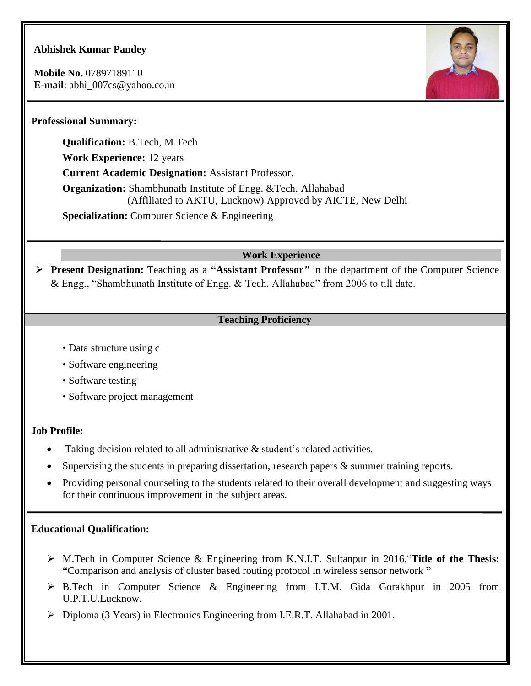# **Abhishek Kumar Pandey**

**Mobile No.** 07897189110 **E-mail**: abhi\_007cs@yahoo.co.in



## **Professional Summary:**

**Qualification:** B.Tech, M.Tech **Work Experience:** 12 years **Current Academic Designation:** Assistant Professor. **Organization:** Shambhunath Institute of Engg. &Tech. Allahabad (Affiliated to AKTU, Lucknow) Approved by AICTE, New Delhi **Specialization:** Computer Science & Engineering

### **Work Experience**

 **Present Designation:** Teaching as a **"Assistant Professor***"* in the department of the Computer Science & Engg., "Shambhunath Institute of Engg. & Tech. Allahabad" from 2006 to till date.

### **Teaching Proficiency**

- Data structure using c
- Software engineering
- Software testing
- Software project management

#### **Job Profile:**

- Taking decision related to all administrative & student's related activities.
- Supervising the students in preparing dissertation, research papers  $\&$  summer training reports.
- Providing personal counseling to the students related to their overall development and suggesting ways for their continuous improvement in the subject areas.

#### **Educational Qualification:**

- M.Tech in Computer Science & Engineering from K.N.I.T. Sultanpur in 2016,"**Title of the Thesis: "**Comparison and analysis of cluster based routing protocol in wireless sensor network **"**
- B.Tech in Computer Science & Engineering from I.T.M. Gida Gorakhpur in 2005 from U.P.T.U.Lucknow.
- Diploma (3 Years) in Electronics Engineering from I.E.R.T. Allahabad in 2001.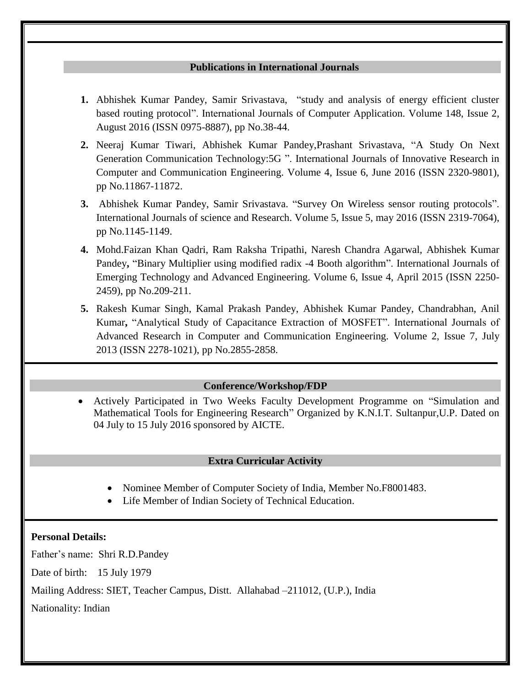#### **Publications in International Journals**

- **1.** Abhishek Kumar Pandey, Samir Srivastava, "study and analysis of energy efficient cluster based routing protocol". International Journals of Computer Application. Volume 148, Issue 2, August 2016 (ISSN 0975-8887), pp No.38-44.
- **2.** Neeraj Kumar Tiwari, Abhishek Kumar Pandey,Prashant Srivastava, "A Study On Next Generation Communication Technology:5G ". International Journals of Innovative Research in Computer and Communication Engineering. Volume 4, Issue 6, June 2016 (ISSN 2320-9801), pp No.11867-11872.
- **3.** Abhishek Kumar Pandey, Samir Srivastava. "Survey On Wireless sensor routing protocols". International Journals of science and Research. Volume 5, Issue 5, may 2016 (ISSN 2319-7064), pp No.1145-1149.
- **4.** Mohd.Faizan Khan Qadri, Ram Raksha Tripathi, Naresh Chandra Agarwal, Abhishek Kumar Pandey**,** "Binary Multiplier using modified radix -4 Booth algorithm". International Journals of Emerging Technology and Advanced Engineering. Volume 6, Issue 4, April 2015 (ISSN 2250- 2459), pp No.209-211.
- **5.** Rakesh Kumar Singh, Kamal Prakash Pandey, Abhishek Kumar Pandey, Chandrabhan, Anil Kumar**,** "Analytical Study of Capacitance Extraction of MOSFET". International Journals of Advanced Research in Computer and Communication Engineering. Volume 2, Issue 7, July 2013 (ISSN 2278-1021), pp No.2855-2858.

#### **Conference/Workshop/FDP**

 Actively Participated in Two Weeks Faculty Development Programme on "Simulation and Mathematical Tools for Engineering Research" Organized by K.N.I.T. Sultanpur,U.P. Dated on 04 July to 15 July 2016 sponsored by AICTE.

#### **Extra Curricular Activity**

- Nominee Member of Computer Society of India, Member No.F8001483.
- Life Member of Indian Society of Technical Education.

#### I **Personal Details:**

Father's name: Shri R.D.Pandey

Date of birth: 15 July 1979

Mailing Address: SIET, Teacher Campus, Distt. Allahabad –211012, (U.P.), India

Nationality: Indian